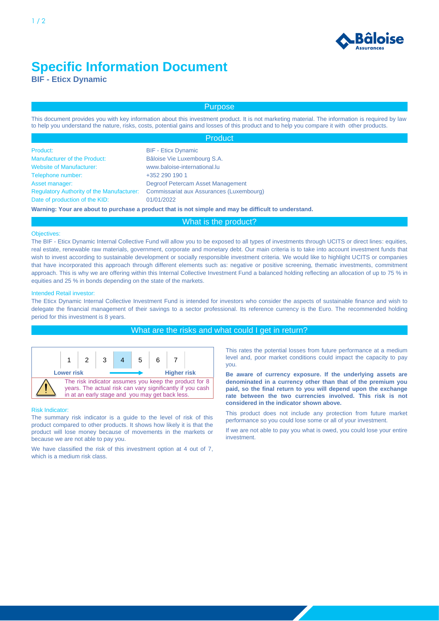

# **Specific Information Document**

**BIF - Eticx Dynamic**

# Purpose

This document provides you with key information about this investment product. It is not marketing material. The information is required by law to help you understand the nature, risks, costs, potential gains and losses of this product and to help you compare it with other products.

|                                                  | <b>Product</b>                                                                                       |
|--------------------------------------------------|------------------------------------------------------------------------------------------------------|
| Product:                                         | <b>BIF</b> - Eticx Dynamic                                                                           |
| Manufacturer of the Product:                     | Bâloise Vie Luxembourg S.A.                                                                          |
| <b>Website of Manufacturer:</b>                  | www.baloise-international.lu                                                                         |
| Telephone number:                                | +352 290 190 1                                                                                       |
| Asset manager:                                   | Degroof Petercam Asset Management                                                                    |
| <b>Regulatory Authority of the Manufacturer:</b> | Commissariat aux Assurances (Luxembourg)                                                             |
| Date of production of the KID:                   | 01/01/2022                                                                                           |
|                                                  | Warning: Your are about to purchase a product that is not simple and may be difficult to understand. |

## What is the product?

#### Objectives:

The BIF - Eticx Dynamic Internal Collective Fund will allow you to be exposed to all types of investments through UCITS or direct lines: equities, real estate, renewable raw materials, government, corporate and monetary debt. Our main criteria is to take into account investment funds that wish to invest according to sustainable development or socially responsible investment criteria. We would like to highlight UCITS or companies that have incorporated this approach through different elements such as: negative or positive screening, thematic investments, commitment approach. This is why we are offering within this Internal Collective Investment Fund a balanced holding reflecting an allocation of up to 75 % in equities and 25 % in bonds depending on the state of the markets.

#### Intended Retail investor:

The Eticx Dynamic Internal Collective Investment Fund is intended for investors who consider the aspects of sustainable finance and wish to delegate the financial management of their savings to a sector professional. Its reference currency is the Euro. The recommended holding period for this investment is 8 years.

## What are the risks and what could I get in return?



#### Risk Indicator:

The summary risk indicator is a guide to the level of risk of this product compared to other products. It shows how likely it is that the product will lose money because of movements in the markets or because we are not able to pay you.

We have classified the risk of this investment option at 4 out of 7, which is a medium risk class.

This rates the potential losses from future performance at a medium level and, poor market conditions could impact the capacity to pay you.

**Be aware of currency exposure. If the underlying assets are denominated in a currency other than that of the premium you paid, so the final return to you will depend upon the exchange rate between the two currencies involved. This risk is not considered in the indicator shown above.**

This product does not include any protection from future market performance so you could lose some or all of your investment.

If we are not able to pay you what is owed, you could lose your entire investment.